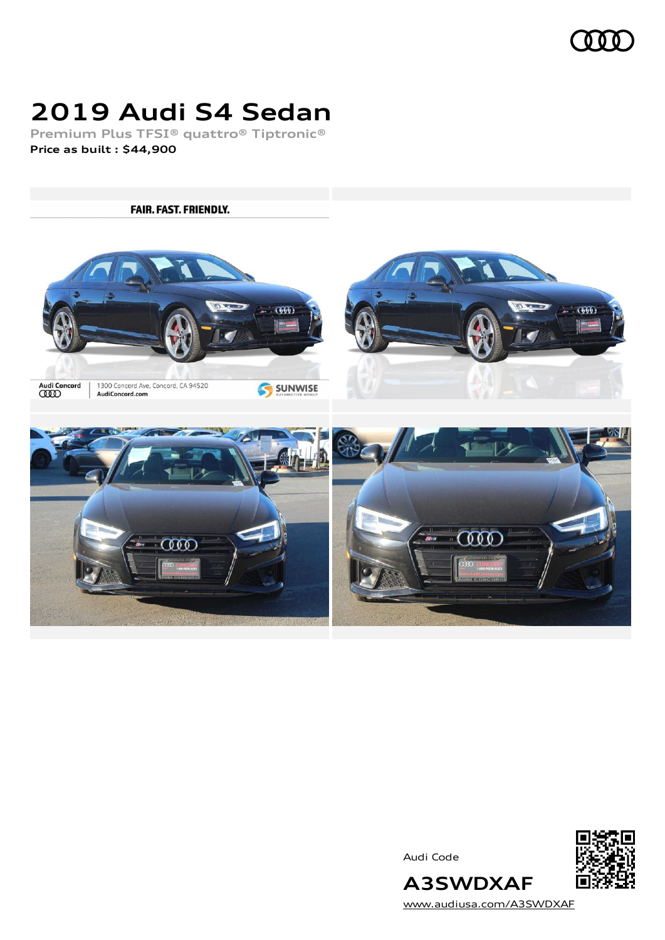

# **2019 Audi S4 Sedan**

**Premium Plus TFSI® quattro® Tiptronic® Price as built [:](#page-8-0) \$44,900**

**FAIR. FAST. FRIENDLY.**  $-000$  $600$ Audi Concord<br>**CCCO** 1300 Concord Ave, Concord, CA 94520 SUNWISE AudiConcord.com ೧೧೧  $\delta \delta \delta$ 

Audi Code



[www.audiusa.com/A3SWDXAF](https://www.audiusa.com/A3SWDXAF)

**A3SWDXAF**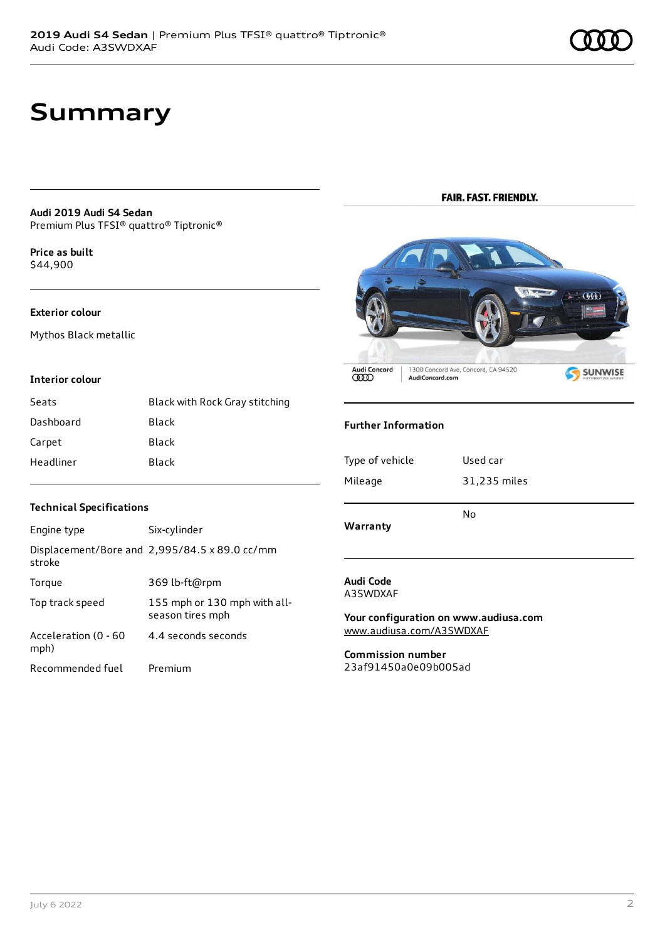### **Summary**

#### **Audi 2019 Audi S4 Sedan** Premium Plus TFSI® quattro® Tiptronic®

**Price as buil[t](#page-8-0)** \$44,900

### **Exterior colour**

Mythos Black metallic

#### **Interior colour**

| Seats     | Black with Rock Gray stitching |
|-----------|--------------------------------|
| Dashboard | Black                          |
| Carpet    | Black                          |
| Headliner | Black                          |

### **FAIR. FAST. FRIENDLY.**



### **Further Information**

| Warranty        |              |
|-----------------|--------------|
|                 | No           |
| Mileage         | 31,235 miles |
| Type of vehicle | Used car     |
|                 |              |

**Audi Code** A3SWDXAF

**Your configuration on www.audiusa.com** [www.audiusa.com/A3SWDXAF](https://www.audiusa.com/A3SWDXAF)

**Commission number** 23af91450a0e09b005ad

### **Technical Specifications**

| Engine type                  | Six-cylinder                                     |
|------------------------------|--------------------------------------------------|
| stroke                       | Displacement/Bore and 2,995/84.5 x 89.0 cc/mm    |
| Torque                       | 369 lb-ft@rpm                                    |
| Top track speed              | 155 mph or 130 mph with all-<br>season tires mph |
| Acceleration (0 - 60<br>mph) | 4.4 seconds seconds                              |
| Recommended fuel             | Premium                                          |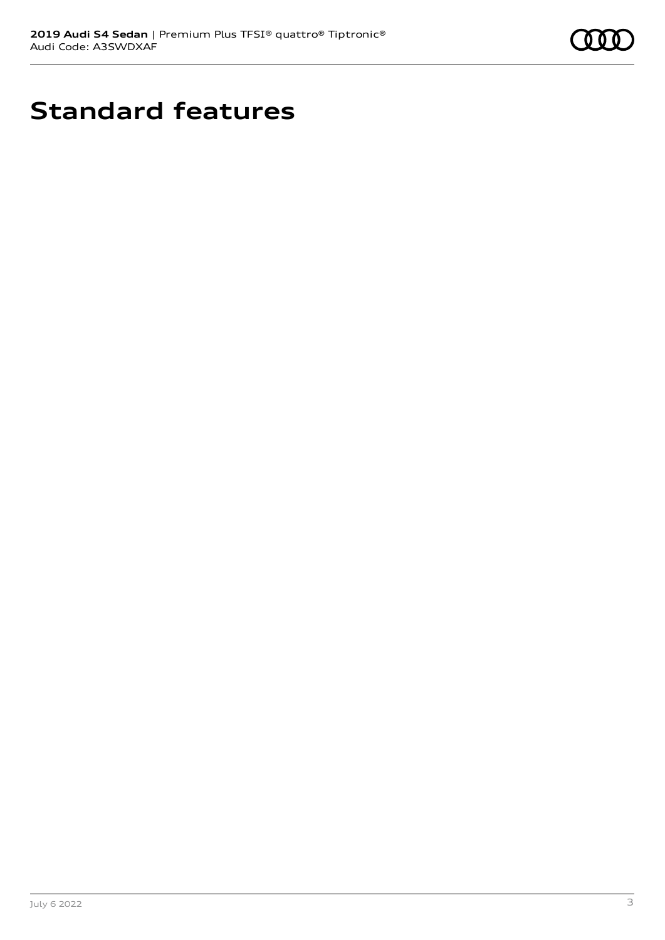

# **Standard features**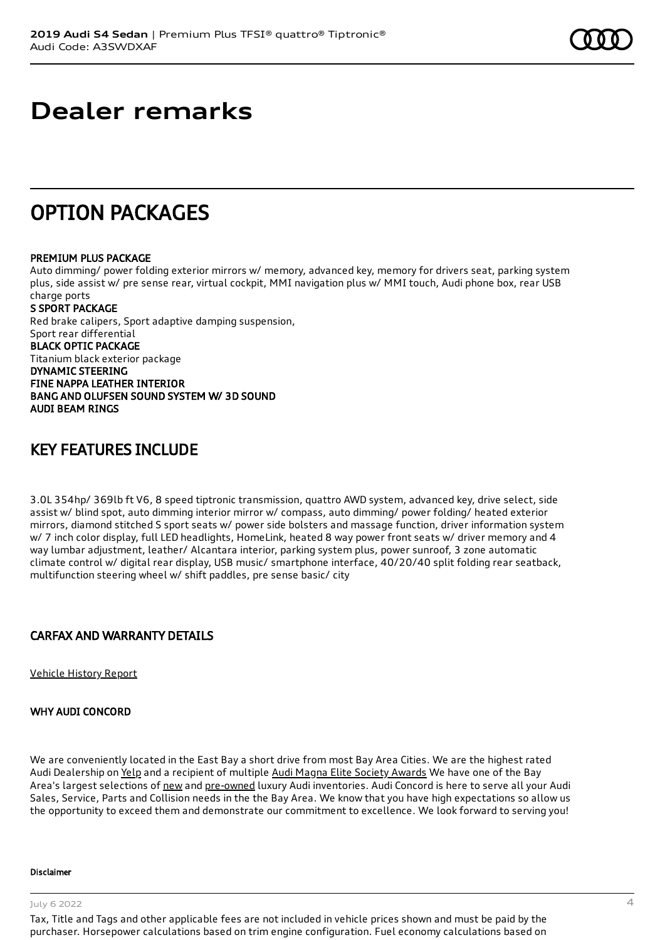### **Dealer remarks**

### OPTION PACKAGES

### PREMIUM PLUS PACKAGE

Auto dimming/ power folding exterior mirrors w/ memory, advanced key, memory for drivers seat, parking system plus, side assist w/ pre sense rear, virtual cockpit, MMI navigation plus w/ MMI touch, Audi phone box, rear USB charge ports S SPORT PACKAGE Red brake calipers, Sport adaptive damping suspension, Sport rear differential BLACK OPTIC PACKAGE Titanium black exterior package

DYNAMIC STEERING FINE NAPPA LEATHER INTERIOR BANG AND OLUFSEN SOUND SYSTEM W/ 3D SOUND AUDI BEAM RINGS

### KEY FEATURES INCLUDE

3.0L 354hp/ 369lb ft V6, 8 speed tiptronic transmission, quattro AWD system, advanced key, drive select, side assist w/ blind spot, auto dimming interior mirror w/ compass, auto dimming/ power folding/ heated exterior mirrors, diamond stitched S sport seats w/ power side bolsters and massage function, driver information system w/ 7 inch color display, full LED headlights, HomeLink, heated 8 way power front seats w/ driver memory and 4 way lumbar adjustment, leather/ Alcantara interior, parking system plus, power sunroof, 3 zone automatic climate control w/ digital rear display, USB music/ smartphone interface, 40/20/40 split folding rear seatback, multifunction steering wheel w/ shift paddles, pre sense basic/ city

### CARFAX AND WARRANTY DETAILS

[Vehicle](https://www.carfax.com/VehicleHistory/p/Report.cfx?partner=DLR_3&vin=WAUB4AF47KA020981) History Report

### WHY AUDI CONCORD

We are conveniently located in the East Bay a short drive from most Bay Area Cities. We are the highest rated Audi Dealership on [Yelp](https://www.yelp.com/biz/audi-concord-concord) and a recipient of multiple Audi Magna Elite Society [Awards](https://www.audiconcord.com/magna-society-award.htm) We have one of the Bay Area's largest selections of [new](https://www.audiconcord.com/new-inventory/index.htm) and [pre-owned](https://www.audiconcord.com/used-inventory/index.htm) luxury Audi inventories. Audi Concord is here to serve all your Audi Sales, Service, Parts and Collision needs in the the Bay Area. We know that you have high expectations so allow us the opportunity to exceed them and demonstrate our commitment to excellence. We look forward to serving you!

#### Disclaimer

July 6 2022 4

Tax, Title and Tags and other applicable fees are not included in vehicle prices shown and must be paid by the purchaser. Horsepower calculations based on trim engine configuration. Fuel economy calculations based on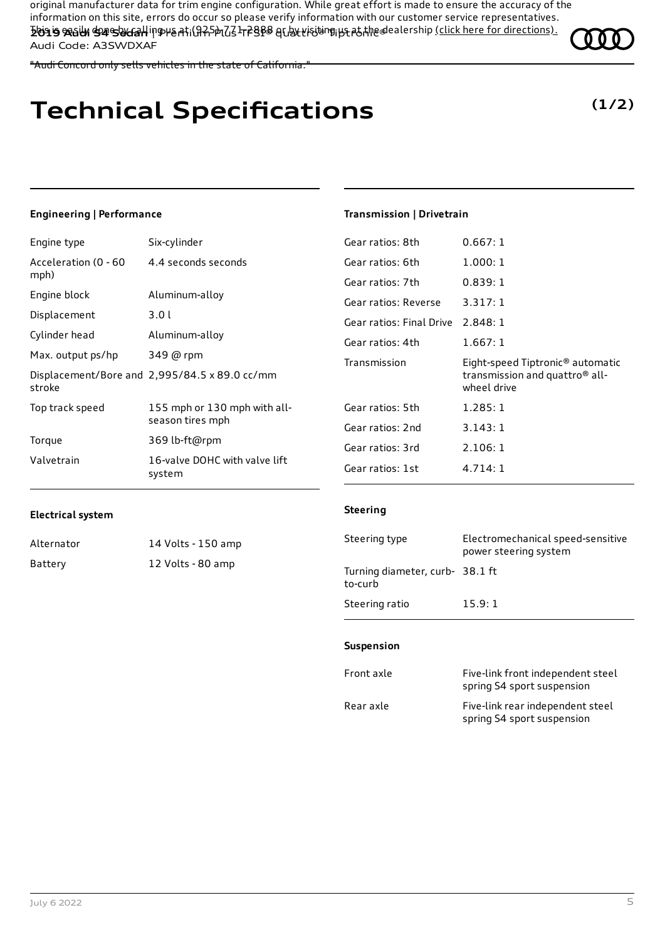original manufacturer data for trim engine configuration. While great effort is made to ensure the accuracy of the information on this site, errors do occur so please verify information with our customer service representatives. This is easily done by calling us at (925)-771-2888 or by visiting us at the dealership (click here for [directions\).](https://www.audiconcord.com/dealership/directions.htm) **2019 Audi S4 Sedan** | Premium Plus TFSI® quattro® Tiptronic® Audi Code: A3SWDXAF

"Audi Concord only sells vehicles in the state of California."

# **Technical Specifications**

### **Engineering | Performance**

Engine type Six-cylinder

| Acceleration (0 - 60<br>mph) | 4.4 seconds seconds                              |
|------------------------------|--------------------------------------------------|
| Engine block                 | Aluminum-alloy                                   |
| Displacement                 | 3.0l                                             |
| Cylinder head                | Aluminum-alloy                                   |
| Max. output ps/hp            | 349 @ rpm                                        |
| stroke                       | Displacement/Bore and 2,995/84.5 x 89.0 cc/mm    |
| Top track speed              | 155 mph or 130 mph with all-<br>season tires mph |
| Torque                       | 369 lb-ft@rpm                                    |
| Valvetrain                   | 16-valve DOHC with valve lift<br>system          |

# **Transmission | Drivetrain**

| 0.667: 1                                                                                                  |
|-----------------------------------------------------------------------------------------------------------|
| 1.000:1                                                                                                   |
| 0.839:1                                                                                                   |
| 3.317:1                                                                                                   |
| Gear ratios: Final Drive 2.848: 1                                                                         |
| 1.667:1                                                                                                   |
| Eight-speed Tiptronic <sup>®</sup> automatic<br>transmission and quattro <sup>®</sup> all-<br>wheel drive |
| 1.285:1                                                                                                   |
| 3.143:1                                                                                                   |
| 2.106:1                                                                                                   |
| 4.714:1                                                                                                   |
|                                                                                                           |

#### **Electrical system**

| Alternator | 14 Volts - 150 amp |
|------------|--------------------|
| Battery    | 12 Volts - 80 amp  |

### **Steering**

| Steering type                             | Electromechanical speed-sensitive<br>power steering system |
|-------------------------------------------|------------------------------------------------------------|
| Turning diameter, curb-38.1 ft<br>to-curb |                                                            |
| Steering ratio                            | 15.9:1                                                     |

#### **Suspension**

| Front axle | Five-link front independent steel<br>spring S4 sport suspension |
|------------|-----------------------------------------------------------------|
| Rear axle  | Five-link rear independent steel<br>spring S4 sport suspension  |

**(1/2)**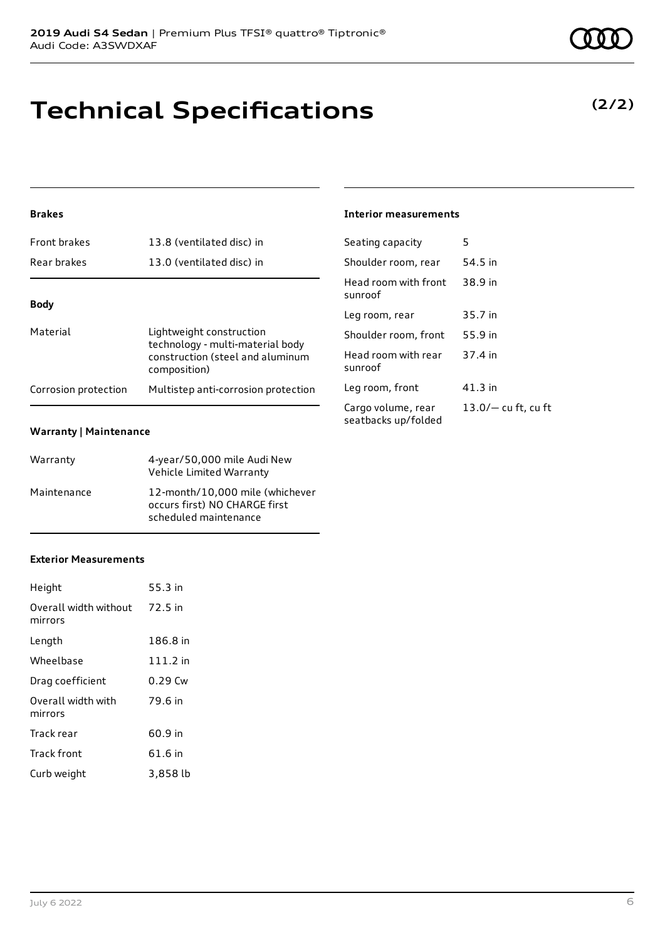Audi Code: A3SWDXAF

### **Technical Specifications**

**2019 Audi S4 Sedan** | Premium Plus TFSI® quattro® Tiptronic®

### **Brakes**

| <b>Front brakes</b>  | 13.8 (ventilated disc) in                                                                                        |
|----------------------|------------------------------------------------------------------------------------------------------------------|
| Rear brakes          | 13.0 (ventilated disc) in                                                                                        |
|                      |                                                                                                                  |
| <b>Body</b>          |                                                                                                                  |
| Material             | Lightweight construction<br>technology - multi-material body<br>construction (steel and aluminum<br>composition) |
| Corrosion protection | Multistep anti-corrosion protection                                                                              |

### **Warranty | Maintenance**

| Warranty    | 4-year/50,000 mile Audi New<br>Vehicle Limited Warranty                                   |
|-------------|-------------------------------------------------------------------------------------------|
| Maintenance | 12-month/10.000 mile (whichever<br>occurs first) NO CHARGE first<br>scheduled maintenance |

### **Exterior Measurements**

| Height                           | 55.3 in  |
|----------------------------------|----------|
| Overall width without<br>mirrors | 72.5 in  |
| Length                           | 186.8 in |
| Wheelbase                        | 111.2 in |
| Drag coefficient                 | 0.29 Cw  |
| Overall width with<br>mirrors    | 79.6 in  |
| Track rear                       | 60.9 in  |
| Track front                      | 61.6 in  |
| Curb weight                      | 3,858 lb |

### **Interior measurements**

| Seating capacity                          | 5                     |
|-------------------------------------------|-----------------------|
| Shoulder room, rear                       | 54.5 in               |
| Head room with front<br>sunroof           | 38.9 in               |
| Leg room, rear                            | 35.7 in               |
| Shoulder room, front                      | 55.9 in               |
| Head room with rear<br>sunroof            | 37.4 in               |
| Leg room, front                           | 41.3 in               |
| Cargo volume, rear<br>seatbacks up/folded | $13.0/-$ cu ft, cu ft |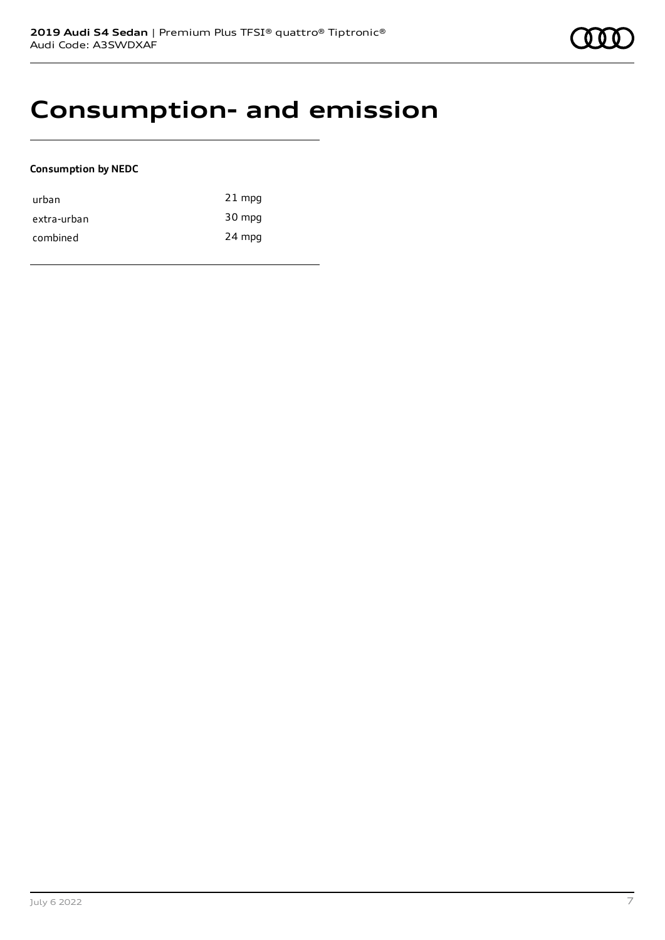### **Consumption- and emission**

### **Consumption by NEDC**

| urban       | $21$ mpg |
|-------------|----------|
| extra-urban | 30 mpg   |
| combined    | 24 mpg   |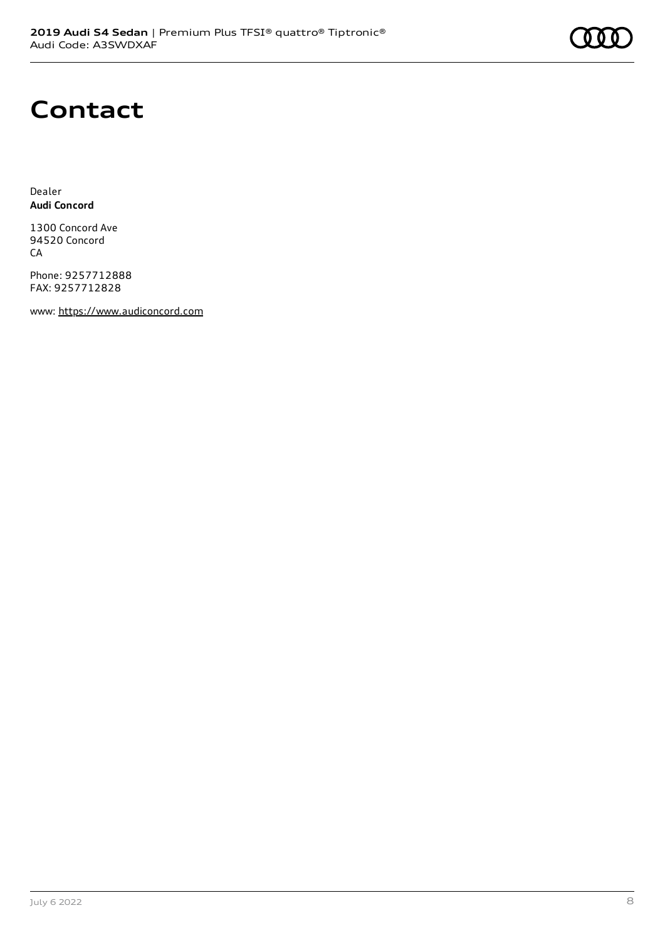# **Contact**

Dealer **Audi Concord**

1300 Concord Ave 94520 Concord CA

Phone: 9257712888 FAX: 9257712828

www: [https://www.audiconcord.com](https://www.audiconcord.com/)